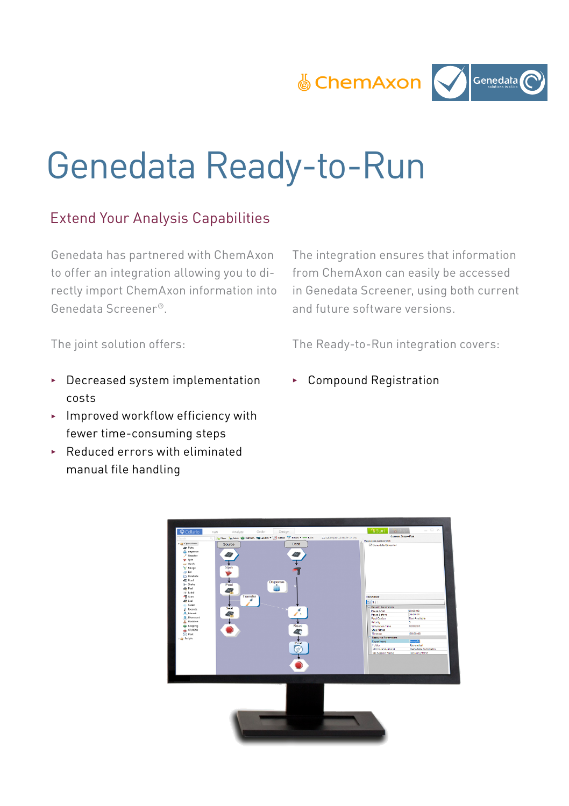

# Genedata Ready-to-Run

## Extend Your Analysis Capabilities

Genedata has partnered with ChemAxon to offer an integration allowing you to directly import ChemAxon information into Genedata Screener®.

The integration ensures that information from ChemAxon can easily be accessed in Genedata Screener, using both current and future software versions.

The joint solution offers:

The Ready-to-Run integration covers:

- $\blacktriangleright$  Decreased system implementation costs
- $\blacktriangleright$  Improved workflow efficiency with fewer time-consuming steps
- $\rightarrow$  Reduced errors with eliminated manual file handling
- <sup>3</sup> Compound Registration